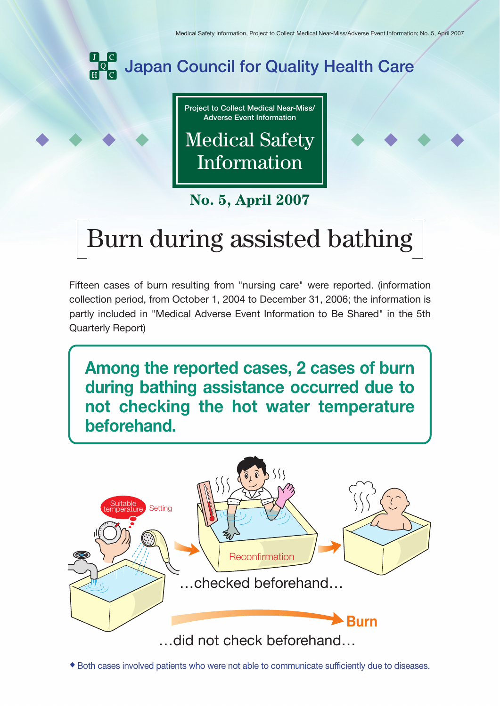

**Project to Collect Medical Near-Miss/ Adverse Event Information**

Medical Safety Information

**No. 5, April 2007**

## Burn during assisted bathing

Fifteen cases of burn resulting from "nursing care" were reported. (information collection period, from October 1, 2004 to December 31, 2006; the information is partly included in "Medical Adverse Event Information to Be Shared" in the 5th Quarterly Report)

**Among the reported cases, 2 cases of burn during bathing assistance occurred due to not checking the hot water temperature beforehand.** 



◆ Both cases involved patients who were not able to communicate sufficiently due to diseases.